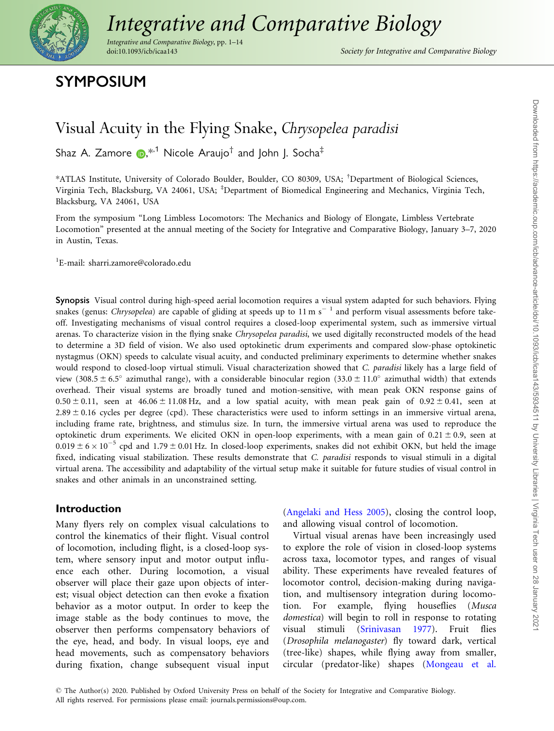

# [Integrative and Comparative Biology](https://academic.oup.com/)

Integrative and Comparative Biology, pp. 1–14

Society for Integrative and Comparative Biology

# SYMPOSIUM

# Visual Acuity in the Flying Snake, Chrysopelea paradisi

Shaz A. Zamore  $\mathbf{D}^{*1}$  Nicole Araujo<sup>†</sup> and John J. Socha<sup>‡</sup>

\*ATLAS Institute, University of Colorado Boulder, Boulder, CO 80309, USA; † Department of Biological Sciences, Virginia Tech, Blacksburg, VA 24061, USA; <sup>‡</sup>Department of Biomedical Engineering and Mechanics, Virginia Tech, Blacksburg, VA 24061, USA

From the symposium "Long Limbless Locomotors: The Mechanics and Biology of Elongate, Limbless Vertebrate Locomotion" presented at the annual meeting of the Society for Integrative and Comparative Biology, January 3–7, 2020 in Austin, Texas.

1 E-mail: sharri.zamore@colorado.edu

Synopsis Visual control during high-speed aerial locomotion requires a visual system adapted for such behaviors. Flying snakes (genus: Chrysopelea) are capable of gliding at speeds up to 11 m s<sup>-1</sup> and perform visual assessments before takeoff. Investigating mechanisms of visual control requires a closed-loop experimental system, such as immersive virtual arenas. To characterize vision in the flying snake Chrysopelea paradisi, we used digitally reconstructed models of the head to determine a 3D field of vision. We also used optokinetic drum experiments and compared slow-phase optokinetic nystagmus (OKN) speeds to calculate visual acuity, and conducted preliminary experiments to determine whether snakes would respond to closed-loop virtual stimuli. Visual characterization showed that C. paradisi likely has a large field of view (308.5  $\pm$  6.5° azimuthal range), with a considerable binocular region (33.0  $\pm$  11.0° azimuthal width) that extends overhead. Their visual systems are broadly tuned and motion-sensitive, with mean peak OKN response gains of  $0.50 \pm 0.11$ , seen at  $46.06 \pm 11.08$  Hz, and a low spatial acuity, with mean peak gain of  $0.92 \pm 0.41$ , seen at  $2.89 \pm 0.16$  cycles per degree (cpd). These characteristics were used to inform settings in an immersive virtual arena, including frame rate, brightness, and stimulus size. In turn, the immersive virtual arena was used to reproduce the optokinetic drum experiments. We elicited OKN in open-loop experiments, with a mean gain of  $0.21 \pm 0.9$ , seen at  $0.019 \pm 6 \times 10^{-5}$  cpd and 1.79  $\pm$  0.01 Hz. In closed-loop experiments, snakes did not exhibit OKN, but held the image fixed, indicating visual stabilization. These results demonstrate that C. paradisi responds to visual stimuli in a digital virtual arena. The accessibility and adaptability of the virtual setup make it suitable for future studies of visual control in snakes and other animals in an unconstrained setting.

# Introduction

Many flyers rely on complex visual calculations to control the kinematics of their flight. Visual control of locomotion, including flight, is a closed-loop system, where sensory input and motor output influence each other. During locomotion, a visual observer will place their gaze upon objects of interest; visual object detection can then evoke a fixation behavior as a motor output. In order to keep the image stable as the body continues to move, the observer then performs compensatory behaviors of the eye, head, and body. In visual loops, eye and head movements, such as compensatory behaviors during fixation, change subsequent visual input

[\(Angelaki and Hess 2005](#page-12-0)), closing the control loop, and allowing visual control of locomotion.

Virtual visual arenas have been increasingly used to explore the role of vision in closed-loop systems across taxa, locomotor types, and ranges of visual ability. These experiments have revealed features of locomotor control, decision-making during navigation, and multisensory integration during locomotion. For example, flying houseflies (Musca domestica) will begin to roll in response to rotating visual stimuli [\(Srinivasan 1977\)](#page-13-0). Fruit flies (Drosophila melanogaster) fly toward dark, vertical (tree-like) shapes, while flying away from smaller, circular (predator-like) shapes ([Mongeau et al.](#page-13-0)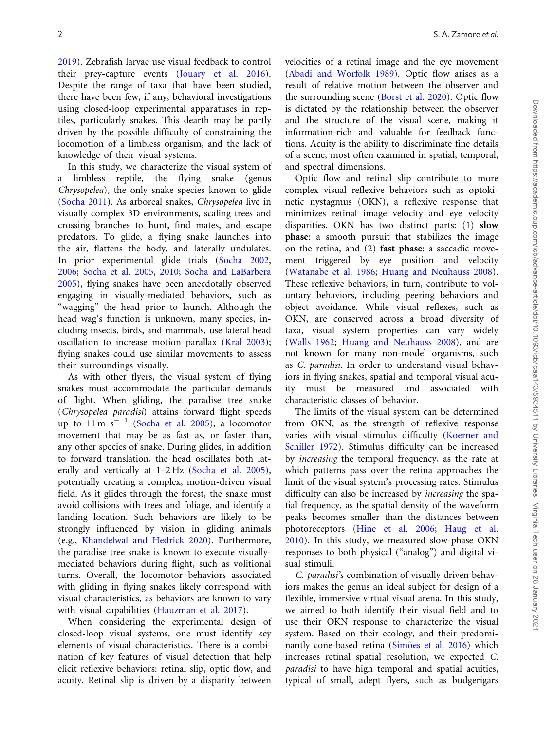[2019](#page-13-0)). Zebrafish larvae use visual feedback to control their prey-capture events ([Jouary et al. 2016](#page-13-0)). Despite the range of taxa that have been studied, there have been few, if any, behavioral investigations using closed-loop experimental apparatuses in reptiles, particularly snakes. This dearth may be partly driven by the possible difficulty of constraining the locomotion of a limbless organism, and the lack of knowledge of their visual systems.

In this study, we characterize the visual system of a limbless reptile, the flying snake (genus Chrysopelea), the only snake species known to glide [\(Socha 2011\)](#page-13-0). As arboreal snakes, Chrysopelea live in visually complex 3D environments, scaling trees and crossing branches to hunt, find mates, and escape predators. To glide, a flying snake launches into the air, flattens the body, and laterally undulates. In prior experimental glide trials ([Socha 2002](#page-13-0), [2006](#page-13-0); [Socha et al. 2005,](#page-13-0) [2010;](#page-13-0) [Socha and LaBarbera](#page-13-0) [2005](#page-13-0)), flying snakes have been anecdotally observed engaging in visually-mediated behaviors, such as "wagging" the head prior to launch. Although the head wag's function is unknown, many species, including insects, birds, and mammals, use lateral head oscillation to increase motion parallax [\(Kral 2003](#page-13-0)); flying snakes could use similar movements to assess their surroundings visually.

As with other flyers, the visual system of flying snakes must accommodate the particular demands of flight. When gliding, the paradise tree snake (Chrysopelea paradisi) attains forward flight speeds up to  $11 \text{ m s}^{-1}$  [\(Socha et al. 2005\),](#page-13-0) a locomotor movement that may be as fast as, or faster than, any other species of snake. During glides, in addition to forward translation, the head oscillates both laterally and vertically at 1–2 Hz [\(Socha et al. 2005\)](#page-13-0), potentially creating a complex, motion-driven visual field. As it glides through the forest, the snake must avoid collisions with trees and foliage, and identify a landing location. Such behaviors are likely to be strongly influenced by vision in gliding animals (e.g., [Khandelwal and Hedrick 2020\)](#page-13-0). Furthermore, the paradise tree snake is known to execute visuallymediated behaviors during flight, such as volitional turns. Overall, the locomotor behaviors associated with gliding in flying snakes likely correspond with visual characteristics, as behaviors are known to vary with visual capabilities ([Hauzman et al. 2017](#page-13-0)).

When considering the experimental design of closed-loop visual systems, one must identify key elements of visual characteristics. There is a combination of key features of visual detection that help elicit reflexive behaviors: retinal slip, optic flow, and acuity. Retinal slip is driven by a disparity between

velocities of a retinal image and the eye movement ([Abadi and Worfolk 1989](#page-12-0)). Optic flow arises as a result of relative motion between the observer and the surrounding scene [\(Borst et al. 2020\)](#page-12-0). Optic flow is dictated by the relationship between the observer and the structure of the visual scene, making it information-rich and valuable for feedback functions. Acuity is the ability to discriminate fine details of a scene, most often examined in spatial, temporal, and spectral dimensions.

Optic flow and retinal slip contribute to more complex visual reflexive behaviors such as optokinetic nystagmus (OKN), a reflexive response that minimizes retinal image velocity and eye velocity disparities. OKN has two distinct parts: (1) slow phase: a smooth pursuit that stabilizes the image on the retina, and (2) fast phase: a saccadic movement triggered by eye position and velocity ([Watanabe et al. 1986](#page-13-0); [Huang and Neuhauss 2008\)](#page-13-0). These reflexive behaviors, in turn, contribute to voluntary behaviors, including peering behaviors and object avoidance. While visual reflexes, such as OKN, are conserved across a broad diversity of taxa, visual system properties can vary widely ([Walls 1962;](#page-13-0) [Huang and Neuhauss 2008](#page-13-0)), and are not known for many non-model organisms, such as C. paradisi. In order to understand visual behaviors in flying snakes, spatial and temporal visual acuity must be measured and associated with characteristic classes of behavior.

The limits of the visual system can be determined from OKN, as the strength of reflexive response varies with visual stimulus difficulty ([Koerner and](#page-13-0) [Schiller 1972](#page-13-0)). Stimulus difficulty can be increased by increasing the temporal frequency, as the rate at which patterns pass over the retina approaches the limit of the visual system's processing rates. Stimulus difficulty can also be increased by increasing the spatial frequency, as the spatial density of the waveform peaks becomes smaller than the distances between photoreceptors [\(Hine et al. 2006;](#page-13-0) [Haug et al.](#page-13-0) [2010\)](#page-13-0). In this study, we measured slow-phase OKN responses to both physical ("analog") and digital visual stimuli.

C. paradisi's combination of visually driven behaviors makes the genus an ideal subject for design of a flexible, immersive virtual visual arena. In this study, we aimed to both identify their visual field and to use their OKN response to characterize the visual system. Based on their ecology, and their predomi-nantly cone-based retina ([Sim](#page-13-0)o[es et al. 2016](#page-13-0)) which increases retinal spatial resolution, we expected C. paradisi to have high temporal and spatial acuities, typical of small, adept flyers, such as budgerigars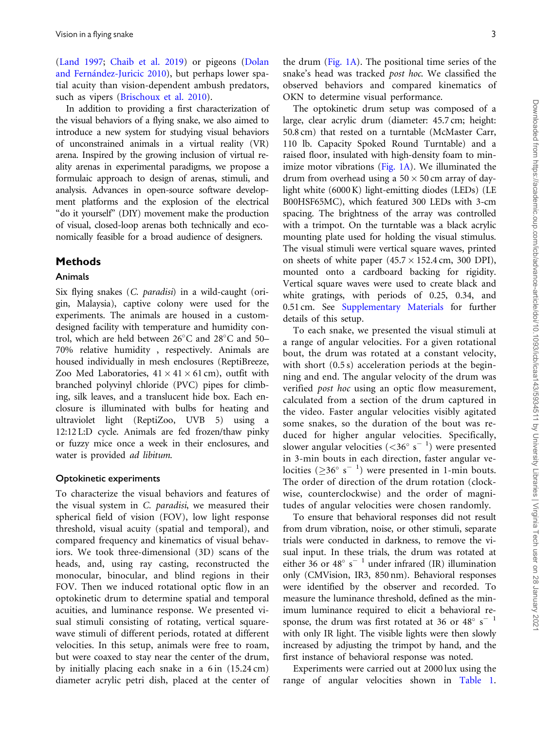([Land 1997](#page-13-0); [Chaib et al. 2019\)](#page-12-0) or pigeons [\(Dolan](#page-13-0) [and Fern](#page-13-0)ández-Juricic 2010), but perhaps lower spatial acuity than vision-dependent ambush predators, such as vipers [\(Brischoux et al. 2010](#page-12-0)).

In addition to providing a first characterization of the visual behaviors of a flying snake, we also aimed to introduce a new system for studying visual behaviors of unconstrained animals in a virtual reality (VR) arena. Inspired by the growing inclusion of virtual reality arenas in experimental paradigms, we propose a formulaic approach to design of arenas, stimuli, and analysis. Advances in open-source software development platforms and the explosion of the electrical "do it yourself" (DIY) movement make the production of visual, closed-loop arenas both technically and economically feasible for a broad audience of designers.

# Methods

### Animals

Six flying snakes (C. paradisi) in a wild-caught (origin, Malaysia), captive colony were used for the experiments. The animals are housed in a customdesigned facility with temperature and humidity control, which are held between  $26^{\circ}$ C and  $28^{\circ}$ C and  $50-$ 70% relative humidity , respectively. Animals are housed individually in mesh enclosures (ReptiBreeze, Zoo Med Laboratories,  $41 \times 41 \times 61$  cm), outfit with branched polyvinyl chloride (PVC) pipes for climbing, silk leaves, and a translucent hide box. Each enclosure is illuminated with bulbs for heating and ultraviolet light (ReptiZoo, UVB 5) using a 12:12 L:D cycle. Animals are fed frozen/thaw pinky or fuzzy mice once a week in their enclosures, and water is provided ad libitum.

#### Optokinetic experiments

To characterize the visual behaviors and features of the visual system in C. paradisi, we measured their spherical field of vision (FOV), low light response threshold, visual acuity (spatial and temporal), and compared frequency and kinematics of visual behaviors. We took three-dimensional (3D) scans of the heads, and, using ray casting, reconstructed the monocular, binocular, and blind regions in their FOV. Then we induced rotational optic flow in an optokinetic drum to determine spatial and temporal acuities, and luminance response. We presented visual stimuli consisting of rotating, vertical squarewave stimuli of different periods, rotated at different velocities. In this setup, animals were free to roam, but were coaxed to stay near the center of the drum, by initially placing each snake in a  $6 \text{ in } (15.24 \text{ cm})$ diameter acrylic petri dish, placed at the center of

the drum [\(Fig. 1A](#page-3-0)). The positional time series of the snake's head was tracked post hoc. We classified the observed behaviors and compared kinematics of OKN to determine visual performance.

The optokinetic drum setup was composed of a large, clear acrylic drum (diameter: 45.7 cm; height: 50.8 cm) that rested on a turntable (McMaster Carr, 110 lb. Capacity Spoked Round Turntable) and a raised floor, insulated with high-density foam to minimize motor vibrations ([Fig. 1A](#page-3-0)). We illuminated the drum from overhead using a  $50 \times 50$  cm array of daylight white (6000 K) light-emitting diodes (LEDs) (LE B00HSF65MC), which featured 300 LEDs with 3-cm spacing. The brightness of the array was controlled with a trimpot. On the turntable was a black acrylic mounting plate used for holding the visual stimulus. The visual stimuli were vertical square waves, printed on sheets of white paper  $(45.7 \times 152.4 \text{ cm}, 300 \text{ DPI})$ , mounted onto a cardboard backing for rigidity. Vertical square waves were used to create black and white gratings, with periods of 0.25, 0.34, and 0.51 cm. See Supplementary Materials for further details of this setup.

To each snake, we presented the visual stimuli at a range of angular velocities. For a given rotational bout, the drum was rotated at a constant velocity, with short  $(0.5 s)$  acceleration periods at the beginning and end. The angular velocity of the drum was verified post hoc using an optic flow measurement, calculated from a section of the drum captured in the video. Faster angular velocities visibly agitated some snakes, so the duration of the bout was reduced for higher angular velocities. Specifically, slower angular velocities (<36 $\degree$  s<sup>-1</sup>) were presented in 3-min bouts in each direction, faster angular velocities ( $\geq$ 36° s<sup>-1</sup>) were presented in 1-min bouts. The order of direction of the drum rotation (clockwise, counterclockwise) and the order of magnitudes of angular velocities were chosen randomly.

To ensure that behavioral responses did not result from drum vibration, noise, or other stimuli, separate trials were conducted in darkness, to remove the visual input. In these trials, the drum was rotated at either  $36$  or  $48^{\circ}$  s<sup>-1</sup> under infrared (IR) illumination only (CMVision, IR3, 850 nm). Behavioral responses were identified by the observer and recorded. To measure the luminance threshold, defined as the minimum luminance required to elicit a behavioral response, the drum was first rotated at 36 or  $48^{\circ}$  s<sup>-1</sup> with only IR light. The visible lights were then slowly increased by adjusting the trimpot by hand, and the first instance of behavioral response was noted.

Experiments were carried out at 2000 lux using the range of angular velocities shown in [Table 1.](#page-4-0)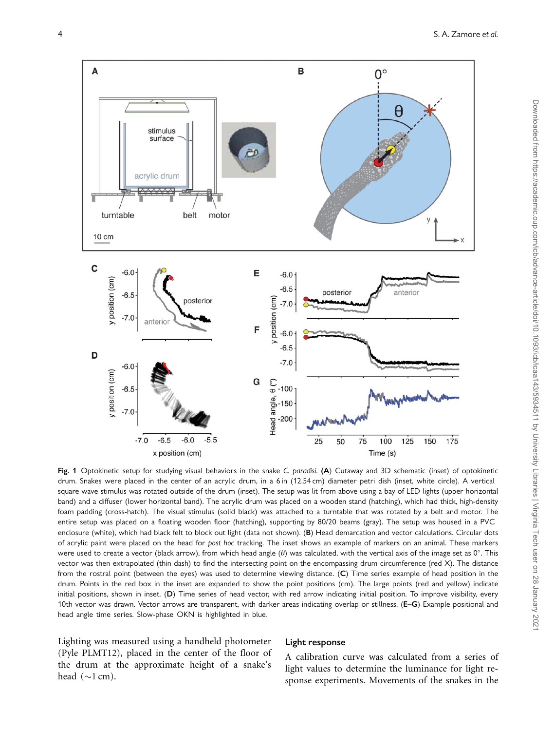<span id="page-3-0"></span>

Fig. 1 Optokinetic setup for studying visual behaviors in the snake C. paradisi. (A) Cutaway and 3D schematic (inset) of optokinetic drum. Snakes were placed in the center of an acrylic drum, in a 6 in (12.54 cm) diameter petri dish (inset, white circle). A vertical square wave stimulus was rotated outside of the drum (inset). The setup was lit from above using a bay of LED lights (upper horizontal band) and a diffuser (lower horizontal band). The acrylic drum was placed on a wooden stand (hatching), which had thick, high-density foam padding (cross-hatch). The visual stimulus (solid black) was attached to a turntable that was rotated by a belt and motor. The entire setup was placed on a floating wooden floor (hatching), supporting by 80/20 beams (gray). The setup was housed in a PVC enclosure (white), which had black felt to block out light (data not shown). (B) Head demarcation and vector calculations. Circular dots of acrylic paint were placed on the head for post hoc tracking. The inset shows an example of markers on an animal. These markers were used to create a vector (black arrow), from which head angle ( $\theta$ ) was calculated, with the vertical axis of the image set as 0°. This vector was then extrapolated (thin dash) to find the intersecting point on the encompassing drum circumference (red X). The distance from the rostral point (between the eyes) was used to determine viewing distance. (C) Time series example of head position in the drum. Points in the red box in the inset are expanded to show the point positions (cm). The large points (red and yellow) indicate initial positions, shown in inset. (D) Time series of head vector, with red arrow indicating initial position. To improve visibility, every 10th vector was drawn. Vector arrows are transparent, with darker areas indicating overlap or stillness. (E-G) Example positional and head angle time series. Slow-phase OKN is highlighted in blue.

Lighting was measured using a handheld photometer (Pyle PLMT12), placed in the center of the floor of the drum at the approximate height of a snake's head  $(\sim 1$  cm).

#### Light response

A calibration curve was calculated from a series of light values to determine the luminance for light response experiments. Movements of the snakes in the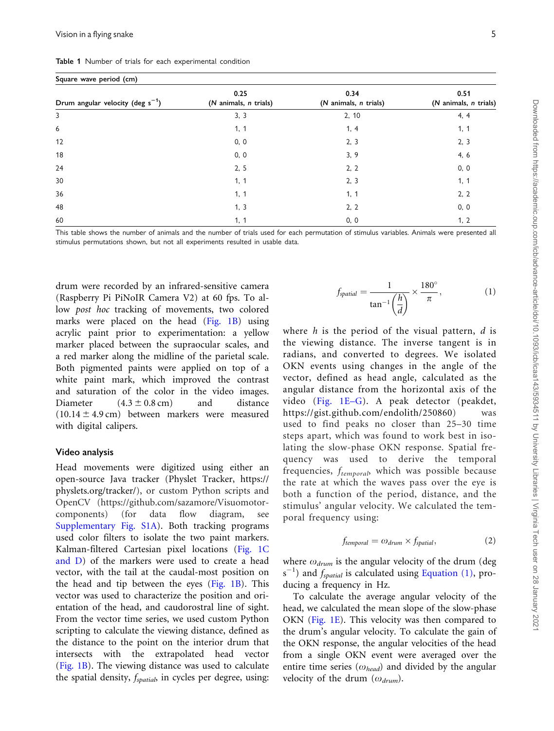<span id="page-4-0"></span>Table 1 Number of trials for each experimental condition

|  |  | Square wave period (cm) |  |
|--|--|-------------------------|--|
|--|--|-------------------------|--|

| Drum angular velocity (deg $s^{-1}$ ) | 0.25<br>(N animals, n trials) | 0.34<br>(N animals, n trials) | 0.51<br>(N animals, n trials) |  |
|---------------------------------------|-------------------------------|-------------------------------|-------------------------------|--|
| 3                                     | 3, 3                          | 2, 10                         | 4, 4                          |  |
| 6                                     | 1, 1                          | 1, 4                          | 1, 1                          |  |
| 12                                    | 0, 0                          | 2, 3                          | 2, 3                          |  |
| 18                                    | 0, 0                          | 3, 9                          | 4, 6                          |  |
| 24                                    | 2, 5                          | 2, 2                          | 0, 0                          |  |
| 30                                    | 1, 1                          | 2, 3                          | 1, 1                          |  |
| 36                                    | 1, 1                          | 1, 1                          | 2, 2                          |  |
| 48                                    | 1, 3                          | 2, 2                          | 0, 0                          |  |
| 60                                    | 1, 1                          | 0, 0                          | 1, 2                          |  |

This table shows the number of animals and the number of trials used for each permutation of stimulus variables. Animals were presented all stimulus permutations shown, but not all experiments resulted in usable data.

drum were recorded by an infrared-sensitive camera (Raspberry Pi PiNoIR Camera V2) at 60 fps. To allow post hoc tracking of movements, two colored marks were placed on the head ([Fig. 1B](#page-3-0)) using acrylic paint prior to experimentation: a yellow marker placed between the supraocular scales, and a red marker along the midline of the parietal scale. Both pigmented paints were applied on top of a white paint mark, which improved the contrast and saturation of the color in the video images. Diameter  $(4.3 \pm 0.8 \text{ cm})$  and distance  $(10.14 \pm 4.9 \text{ cm})$  between markers were measured with digital calipers.

#### Video analysis

Head movements were digitized using either an open-source Java tracker (Physlet Tracker, [https://](https://physlets.org/tracker/) [physlets.org/tracker/\)](https://physlets.org/tracker/), or custom Python scripts and OpenCV [\(https://github.com/sazamore/Visuomotor](https://github.com/sazamore/Visuomotor-components)[components\)](https://github.com/sazamore/Visuomotor-components) (for data flow diagram, see Supplementary Fig. S1A). Both tracking programs used color filters to isolate the two paint markers. Kalman-filtered Cartesian pixel locations [\(Fig. 1C](#page-3-0) [and D](#page-3-0)) of the markers were used to create a head vector, with the tail at the caudal-most position on the head and tip between the eyes [\(Fig. 1B](#page-3-0)). This vector was used to characterize the position and orientation of the head, and caudorostral line of sight. From the vector time series, we used custom Python scripting to calculate the viewing distance, defined as the distance to the point on the interior drum that intersects with the extrapolated head vector ([Fig. 1B\)](#page-3-0). The viewing distance was used to calculate the spatial density,  $f_{spatial}$  in cycles per degree, using:

$$
f_{spatial} = \frac{1}{\tan^{-1}\left(\frac{h}{d}\right)} \times \frac{180^{\circ}}{\pi},\tag{1}
$$

where  $h$  is the period of the visual pattern,  $d$  is the viewing distance. The inverse tangent is in radians, and converted to degrees. We isolated OKN events using changes in the angle of the vector, defined as head angle, calculated as the angular distance from the horizontal axis of the video ([Fig. 1E–G](#page-3-0)). A peak detector (peakdet, <https://gist.github.com/endolith/250860>) was used to find peaks no closer than 25–30 time steps apart, which was found to work best in isolating the slow-phase OKN response. Spatial frequency was used to derive the temporal frequencies,  $f_{temporal}$ , which was possible because the rate at which the waves pass over the eye is both a function of the period, distance, and the stimulus' angular velocity. We calculated the temporal frequency using:

$$
f_{temporal} = \omega_{drum} \times f_{spatial}, \tag{2}
$$

where  $\omega_{drum}$  is the angular velocity of the drum (deg  $s^{-1}$ ) and  $f_{spatial}$  is calculated using Equation (1), producing a frequency in Hz.

To calculate the average angular velocity of the head, we calculated the mean slope of the slow-phase OKN ([Fig. 1E](#page-3-0)). This velocity was then compared to the drum's angular velocity. To calculate the gain of the OKN response, the angular velocities of the head from a single OKN event were averaged over the entire time series ( $\omega_{head}$ ) and divided by the angular velocity of the drum  $(\omega_{drum})$ .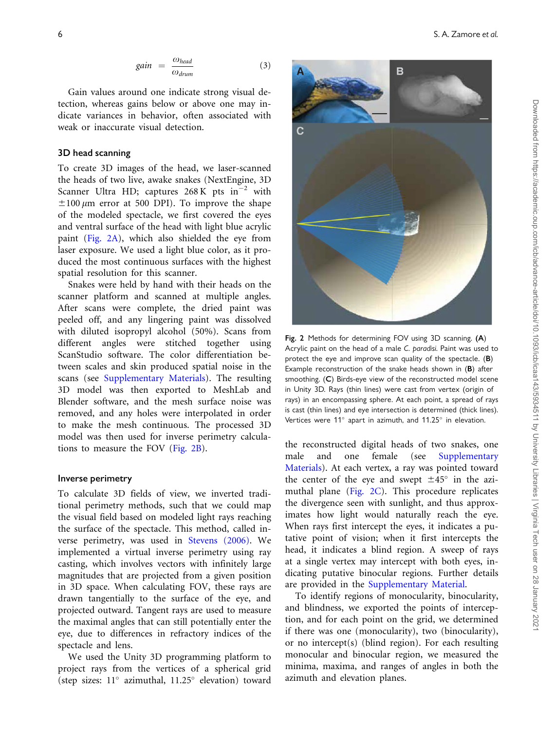$$
gain = \frac{\omega_{head}}{\omega_{drum}} \tag{3}
$$

Gain values around one indicate strong visual detection, whereas gains below or above one may indicate variances in behavior, often associated with weak or inaccurate visual detection.

#### 3D head scanning

To create 3D images of the head, we laser-scanned the heads of two live, awake snakes (NextEngine, 3D Scanner Ultra HD; captures  $268$  K pts in<sup>-2</sup> with  $\pm 100 \mu$ m error at 500 DPI). To improve the shape of the modeled spectacle, we first covered the eyes and ventral surface of the head with light blue acrylic paint (Fig. 2A), which also shielded the eye from laser exposure. We used a light blue color, as it produced the most continuous surfaces with the highest spatial resolution for this scanner.

Snakes were held by hand with their heads on the scanner platform and scanned at multiple angles. After scans were complete, the dried paint was peeled off, and any lingering paint was dissolved with diluted isopropyl alcohol (50%). Scans from different angles were stitched together using ScanStudio software. The color differentiation between scales and skin produced spatial noise in the scans (see Supplementary Materials). The resulting 3D model was then exported to MeshLab and Blender software, and the mesh surface noise was removed, and any holes were interpolated in order to make the mesh continuous. The processed 3D model was then used for inverse perimetry calculations to measure the FOV (Fig. 2B).

#### Inverse perimetry

To calculate 3D fields of view, we inverted traditional perimetry methods, such that we could map the visual field based on modeled light rays reaching the surface of the spectacle. This method, called inverse perimetry, was used in [Stevens \(2006\).](#page-13-0) We implemented a virtual inverse perimetry using ray casting, which involves vectors with infinitely large magnitudes that are projected from a given position in 3D space. When calculating FOV, these rays are drawn tangentially to the surface of the eye, and projected outward. Tangent rays are used to measure the maximal angles that can still potentially enter the eye, due to differences in refractory indices of the spectacle and lens.

We used the Unity 3D programming platform to project rays from the vertices of a spherical grid (step sizes:  $11^{\circ}$  azimuthal,  $11.25^{\circ}$  elevation) toward



Fig. 2 Methods for determining FOV using 3D scanning. (A) Acrylic paint on the head of a male C. paradisi. Paint was used to protect the eye and improve scan quality of the spectacle. (B) Example reconstruction of the snake heads shown in (B) after smoothing. (C) Birds-eye view of the reconstructed model scene in Unity 3D. Rays (thin lines) were cast from vertex (origin of rays) in an encompassing sphere. At each point, a spread of rays is cast (thin lines) and eye intersection is determined (thick lines). Vertices were  $11^{\circ}$  apart in azimuth, and  $11.25^{\circ}$  in elevation.

the reconstructed digital heads of two snakes, one male and one female (see Supplementary Materials). At each vertex, a ray was pointed toward the center of the eye and swept  $\pm 45^\circ$  in the azimuthal plane (Fig. 2C). This procedure replicates the divergence seen with sunlight, and thus approximates how light would naturally reach the eye. When rays first intercept the eyes, it indicates a putative point of vision; when it first intercepts the head, it indicates a blind region. A sweep of rays at a single vertex may intercept with both eyes, indicating putative binocular regions. Further details are provided in the Supplementary Material.

To identify regions of monocularity, binocularity, and blindness, we exported the points of interception, and for each point on the grid, we determined if there was one (monocularity), two (binocularity), or no intercept(s) (blind region). For each resulting monocular and binocular region, we measured the minima, maxima, and ranges of angles in both the azimuth and elevation planes.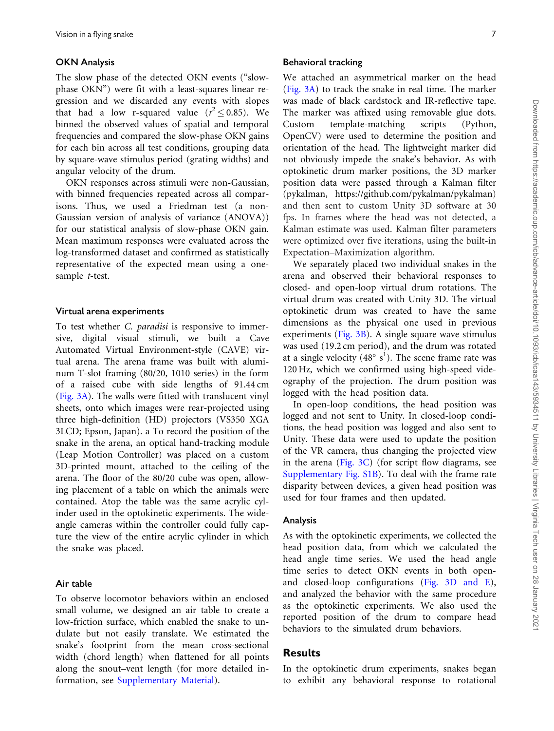#### OKN Analysis

The slow phase of the detected OKN events ("slowphase OKN") were fit with a least-squares linear regression and we discarded any events with slopes that had a low r-squared value ( $r^2 \le 0.85$ ). We binned the observed values of spatial and temporal frequencies and compared the slow-phase OKN gains for each bin across all test conditions, grouping data by square-wave stimulus period (grating widths) and angular velocity of the drum.

OKN responses across stimuli were non-Gaussian, with binned frequencies repeated across all comparisons. Thus, we used a Friedman test (a non-Gaussian version of analysis of variance (ANOVA)) for our statistical analysis of slow-phase OKN gain. Mean maximum responses were evaluated across the log-transformed dataset and confirmed as statistically representative of the expected mean using a onesample t-test.

#### Virtual arena experiments

To test whether C. paradisi is responsive to immersive, digital visual stimuli, we built a Cave Automated Virtual Environment-style (CAVE) virtual arena. The arena frame was built with aluminum T-slot framing (80/20, 1010 series) in the form of a raised cube with side lengths of 91.44 cm ([Fig. 3A](#page-7-0)). The walls were fitted with translucent vinyl sheets, onto which images were rear-projected using three high-definition (HD) projectors (VS350 XGA 3LCD; Epson, Japan). a To record the position of the snake in the arena, an optical hand-tracking module (Leap Motion Controller) was placed on a custom 3D-printed mount, attached to the ceiling of the arena. The floor of the 80/20 cube was open, allowing placement of a table on which the animals were contained. Atop the table was the same acrylic cylinder used in the optokinetic experiments. The wideangle cameras within the controller could fully capture the view of the entire acrylic cylinder in which the snake was placed.

# Air table

To observe locomotor behaviors within an enclosed small volume, we designed an air table to create a low-friction surface, which enabled the snake to undulate but not easily translate. We estimated the snake's footprint from the mean cross-sectional width (chord length) when flattened for all points along the snout–vent length (for more detailed information, see Supplementary Material).

#### Behavioral tracking

We attached an asymmetrical marker on the head [\(Fig. 3A](#page-7-0)) to track the snake in real time. The marker was made of black cardstock and IR-reflective tape. The marker was affixed using removable glue dots. Custom template-matching scripts (Python, OpenCV) were used to determine the position and orientation of the head. The lightweight marker did not obviously impede the snake's behavior. As with optokinetic drum marker positions, the 3D marker position data were passed through a Kalman filter (pykalman,<https://github.com/pykalman/pykalman>) and then sent to custom Unity 3D software at 30 fps. In frames where the head was not detected, a Kalman estimate was used. Kalman filter parameters were optimized over five iterations, using the built-in Expectation–Maximization algorithm.

We separately placed two individual snakes in the arena and observed their behavioral responses to closed- and open-loop virtual drum rotations. The virtual drum was created with Unity 3D. The virtual optokinetic drum was created to have the same dimensions as the physical one used in previous experiments [\(Fig. 3B\)](#page-7-0). A single square wave stimulus was used (19.2 cm period), and the drum was rotated at a single velocity  $(48^{\circ} s^{1})$ . The scene frame rate was 120 Hz, which we confirmed using high-speed videography of the projection. The drum position was logged with the head position data.

In open-loop conditions, the head position was logged and not sent to Unity. In closed-loop conditions, the head position was logged and also sent to Unity. These data were used to update the position of the VR camera, thus changing the projected view in the arena [\(Fig. 3C\)](#page-7-0) (for script flow diagrams, see Supplementary Fig. S1B). To deal with the frame rate disparity between devices, a given head position was used for four frames and then updated.

## Analysis

As with the optokinetic experiments, we collected the head position data, from which we calculated the head angle time series. We used the head angle time series to detect OKN events in both openand closed-loop configurations ([Fig. 3D and E\)](#page-7-0), and analyzed the behavior with the same procedure as the optokinetic experiments. We also used the reported position of the drum to compare head behaviors to the simulated drum behaviors.

# Results

In the optokinetic drum experiments, snakes began to exhibit any behavioral response to rotational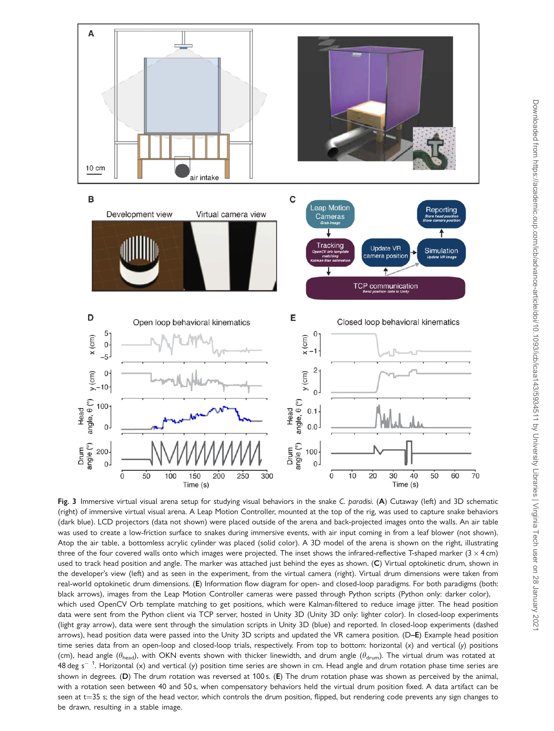<span id="page-7-0"></span>

Fig. 3 Immersive virtual visual arena setup for studying visual behaviors in the snake C. paradisi. (A) Cutaway (left) and 3D schematic (right) of immersive virtual visual arena. A Leap Motion Controller, mounted at the top of the rig, was used to capture snake behaviors (dark blue). LCD projectors (data not shown) were placed outside of the arena and back-projected images onto the walls. An air table was used to create a low-friction surface to snakes during immersive events, with air input coming in from a leaf blower (not shown). Atop the air table, a bottomless acrylic cylinder was placed (solid color). A 3D model of the arena is shown on the right, illustrating three of the four covered walls onto which images were projected. The inset shows the infrared-reflective T-shaped marker  $(3 \times 4 \text{ cm})$ used to track head position and angle. The marker was attached just behind the eyes as shown. (C) Virtual optokinetic drum, shown in the developer's view (left) and as seen in the experiment, from the virtual camera (right). Virtual drum dimensions were taken from real-world optokinetic drum dimensions. (E) Information flow diagram for open- and closed-loop paradigms. For both paradigms (both: black arrows), images from the Leap Motion Controller cameras were passed through Python scripts (Python only: darker color), which used OpenCV Orb template matching to get positions, which were Kalman-filtered to reduce image jitter. The head position data were sent from the Python client via TCP server, hosted in Unity 3D (Unity 3D only: lighter color). In closed-loop experiments (light gray arrow), data were sent through the simulation scripts in Unity 3D (blue) and reported. In closed-loop experiments (dashed arrows), head position data were passed into the Unity 3D scripts and updated the VR camera position. (D–E) Example head position time series data from an open-loop and closed-loop trials, respectively. From top to bottom: horizontal (x) and vertical (y) positions (cm), head angle ( $\theta_{head}$ ), with OKN events shown with thicker linewidth, and drum angle ( $\theta_{drum}$ ). The virtual drum was rotated at 48 deg s $^{-\,1}$ . Horizontal (x) and vertical (y) position time series are shown in cm. Head angle and drum rotation phase time series are shown in degrees. (D) The drum rotation was reversed at 100 s. (E) The drum rotation phase was shown as perceived by the animal, with a rotation seen between 40 and 50 s, when compensatory behaviors held the virtual drum position fixed. A data artifact can be seen at  $t=35$  s; the sign of the head vector, which controls the drum position, flipped, but rendering code prevents any sign changes to be drawn, resulting in a stable image.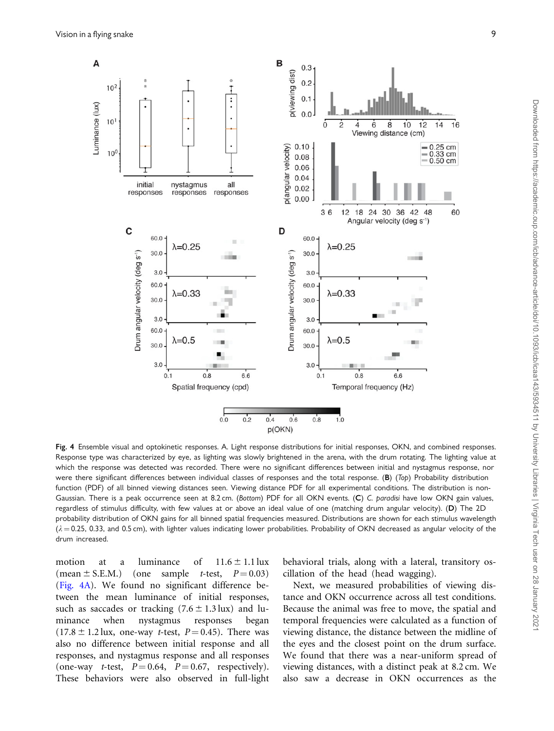<span id="page-8-0"></span>

Fig. 4 Ensemble visual and optokinetic responses. A. Light response distributions for initial responses, OKN, and combined responses. Response type was characterized by eye, as lighting was slowly brightened in the arena, with the drum rotating. The lighting value at which the response was detected was recorded. There were no significant differences between initial and nystagmus response, nor were there significant differences between individual classes of responses and the total response. (B) (Top) Probability distribution function (PDF) of all binned viewing distances seen. Viewing distance PDF for all experimental conditions. The distribution is non-Gaussian. There is a peak occurrence seen at 8.2 cm. (Bottom) PDF for all OKN events. (C) C. paradisi have low OKN gain values, regardless of stimulus difficulty, with few values at or above an ideal value of one (matching drum angular velocity). (D) The 2D probability distribution of OKN gains for all binned spatial frequencies measured. Distributions are shown for each stimulus wavelength  $(\lambda = 0.25, 0.33,$  and 0.5 cm), with lighter values indicating lower probabilities. Probability of OKN decreased as angular velocity of the drum increased.

motion at a luminance of  $11.6 \pm 1.1$  lux (mean  $\pm$  S.E.M.) (one sample *t*-test,  $P = 0.03$ ) (Fig. 4A). We found no significant difference between the mean luminance of initial responses, such as saccades or tracking  $(7.6 \pm 1.3 \text{ lux})$  and luminance when nystagmus responses began  $(17.8 \pm 1.2 \text{lux}, \text{ one-way } t\text{-test}, P=0.45)$ . There was also no difference between initial response and all responses, and nystagmus response and all responses (one-way *t*-test,  $P = 0.64$ ,  $P = 0.67$ , respectively). These behaviors were also observed in full-light

behavioral trials, along with a lateral, transitory oscillation of the head (head wagging).

Next, we measured probabilities of viewing distance and OKN occurrence across all test conditions. Because the animal was free to move, the spatial and temporal frequencies were calculated as a function of viewing distance, the distance between the midline of the eyes and the closest point on the drum surface. We found that there was a near-uniform spread of viewing distances, with a distinct peak at 8.2 cm. We also saw a decrease in OKN occurrences as the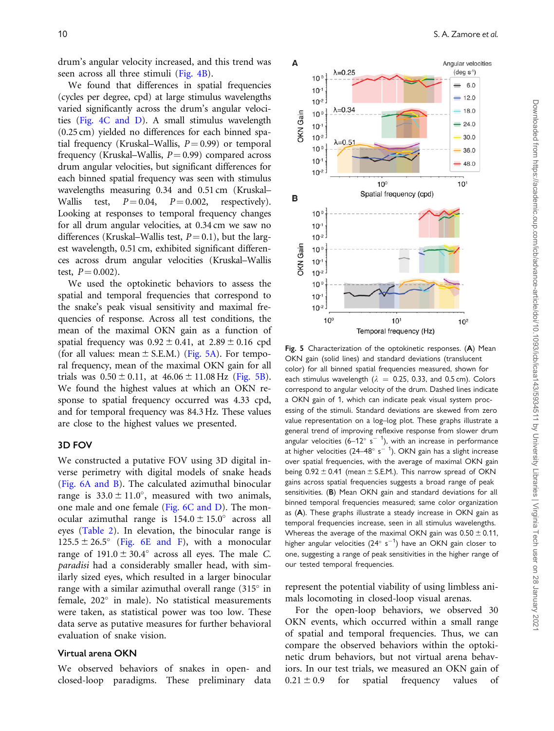drum's angular velocity increased, and this trend was seen across all three stimuli ([Fig. 4B](#page-8-0)).

We found that differences in spatial frequencies (cycles per degree, cpd) at large stimulus wavelengths varied significantly across the drum's angular velocities [\(Fig. 4C and D](#page-8-0)). A small stimulus wavelength (0.25 cm) yielded no differences for each binned spatial frequency (Kruskal–Wallis,  $P = 0.99$ ) or temporal frequency (Kruskal–Wallis,  $P = 0.99$ ) compared across drum angular velocities, but significant differences for each binned spatial frequency was seen with stimulus wavelengths measuring 0.34 and 0.51 cm (Kruskal– Wallis test,  $P = 0.04$ ,  $P = 0.002$ , respectively). Looking at responses to temporal frequency changes for all drum angular velocities, at 0.34 cm we saw no differences (Kruskal–Wallis test,  $P = 0.1$ ), but the largest wavelength, 0.51 cm, exhibited significant differences across drum angular velocities (Kruskal–Wallis test,  $P = 0.002$ ).

We used the optokinetic behaviors to assess the spatial and temporal frequencies that correspond to the snake's peak visual sensitivity and maximal frequencies of response. Across all test conditions, the mean of the maximal OKN gain as a function of spatial frequency was  $0.92 \pm 0.41$ , at  $2.89 \pm 0.16$  cpd (for all values: mean  $\pm$  S.E.M.) (Fig. 5A). For temporal frequency, mean of the maximal OKN gain for all trials was  $0.50 \pm 0.11$ , at  $46.06 \pm 11.08$  Hz (Fig. 5B). We found the highest values at which an OKN response to spatial frequency occurred was 4.33 cpd, and for temporal frequency was 84.3 Hz. These values are close to the highest values we presented.

# 3D FOV

We constructed a putative FOV using 3D digital inverse perimetry with digital models of snake heads [\(Fig. 6A and B](#page-10-0)). The calculated azimuthal binocular range is  $33.0 \pm 11.0^{\circ}$ , measured with two animals, one male and one female [\(Fig. 6C and D\)](#page-10-0). The monocular azimuthal range is  $154.0 \pm 15.0^{\circ}$  across all eyes [\(Table 2](#page-10-0)). In elevation, the binocular range is  $125.5 \pm 26.5^{\circ}$  ([Fig. 6E and F\)](#page-10-0), with a monocular range of  $191.0 \pm 30.4^{\circ}$  across all eyes. The male C. paradisi had a considerably smaller head, with similarly sized eyes, which resulted in a larger binocular range with a similar azimuthal overall range  $(315^{\circ}$  in female, 202° in male). No statistical measurements were taken, as statistical power was too low. These data serve as putative measures for further behavioral evaluation of snake vision.

## Virtual arena OKN

We observed behaviors of snakes in open- and closed-loop paradigms. These preliminary data





Fig. 5 Characterization of the optokinetic responses. (A) Mean OKN gain (solid lines) and standard deviations (translucent color) for all binned spatial frequencies measured, shown for each stimulus wavelength ( $\lambda = 0.25$ , 0.33, and 0.5 cm). Colors correspond to angular velocity of the drum. Dashed lines indicate a OKN gain of 1, which can indicate peak visual system processing of the stimuli. Standard deviations are skewed from zero value representation on a log–log plot. These graphs illustrate a general trend of improving reflexive response from slower drum angular velocities (6–12 $^{\circ}$  s $^{-}$  1), with an increase in performance at higher velocities (24–48° s $^{- \ 1}$ ). OKN gain has a slight increase over spatial frequencies, with the average of maximal OKN gain being  $0.92 \pm 0.41$  (mean  $\pm$  S.E.M.). This narrow spread of OKN gains across spatial frequencies suggests a broad range of peak sensitivities. (B) Mean OKN gain and standard deviations for all binned temporal frequencies measured; same color organization as (A). These graphs illustrate a steady increase in OKN gain as temporal frequencies increase, seen in all stimulus wavelengths. Whereas the average of the maximal OKN gain was  $0.50 \pm 0.11$ , higher angular velocities (24 $^{\circ}$  s $^{-1})$  have an OKN gain closer to one, suggesting a range of peak sensitivities in the higher range of our tested temporal frequencies.

represent the potential viability of using limbless animals locomoting in closed-loop visual arenas.

For the open-loop behaviors, we observed 30 OKN events, which occurred within a small range of spatial and temporal frequencies. Thus, we can compare the observed behaviors within the optokinetic drum behaviors, but not virtual arena behaviors. In our test trials, we measured an OKN gain of  $0.21 \pm 0.9$  for spatial frequency values of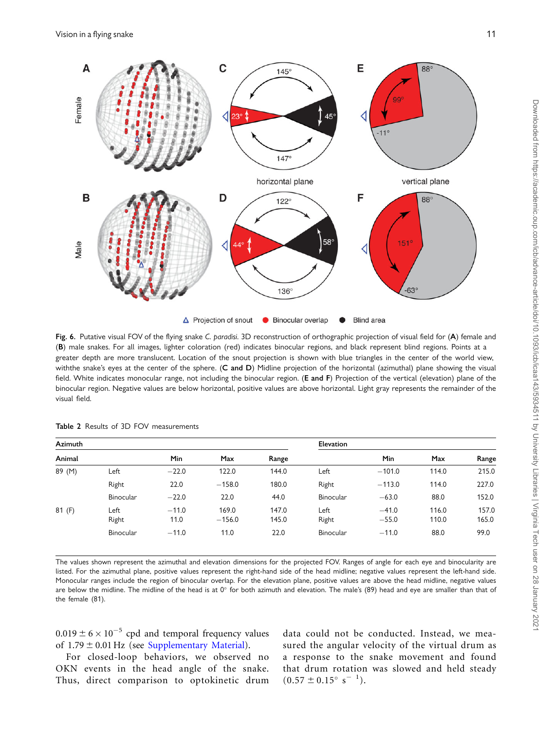<span id="page-10-0"></span>

Fig. 6. Putative visual FOV of the flying snake C. paradisi. 3D reconstruction of orthographic projection of visual field for (A) female and (B) male snakes. For all images, lighter coloration (red) indicates binocular regions, and black represent blind regions. Points at a greater depth are more translucent. Location of the snout projection is shown with blue triangles in the center of the world view, withthe snake's eyes at the center of the sphere. (C and D) Midline projection of the horizontal (azimuthal) plane showing the visual field. White indicates monocular range, not including the binocular region. (E and F) Projection of the vertical (elevation) plane of the binocular region. Negative values are below horizontal, positive values are above horizontal. Light gray represents the remainder of the visual field.

| Azimuth |               |                 |                   |                | <b>Elevation</b> |                    |                |                |
|---------|---------------|-----------------|-------------------|----------------|------------------|--------------------|----------------|----------------|
| Animal  |               | Min             | Max               | Range          |                  | Min                | Max            | Range          |
| 89 (M)  | Left          | $-22.0$         | 122.0             | 144.0          | Left             | $-101.0$           | 114.0          | 215.0          |
|         | Right         | 22.0            | $-158.0$          | 180.0          | Right            | $-113.0$           | 114.0          | 227.0          |
|         | Binocular     | $-22.0$         | 22.0              | 44.0           | Binocular        | $-63.0$            | 88.0           | 152.0          |
| 81 (F)  | Left<br>Right | $-11.0$<br>11.0 | 169.0<br>$-156.0$ | 147.0<br>145.0 | Left<br>Right    | $-41.0$<br>$-55.0$ | 116.0<br>110.0 | 157.0<br>165.0 |
|         | Binocular     | $-11.0$         | 11.0              | 22.0           | Binocular        | $-11.0$            | 88.0           | 99.0           |

Table 2 Results of 3D FOV measurements

The values shown represent the azimuthal and elevation dimensions for the projected FOV. Ranges of angle for each eye and binocularity are listed. For the azimuthal plane, positive values represent the right-hand side of the head midline; negative values represent the left-hand side. Monocular ranges include the region of binocular overlap. For the elevation plane, positive values are above the head midline, negative values are below the midline. The midline of the head is at  $0^\circ$  for both azimuth and elevation. The male's (89) head and eye are smaller than that of the female (81).

 $0.019 \pm 6 \times 10^{-5}$  cpd and temporal frequency values of  $1.79 \pm 0.01$  Hz (see Supplementary Material).

For closed-loop behaviors, we observed no OKN events in the head angle of the snake. Thus, direct comparison to optokinetic drum data could not be conducted. Instead, we measured the angular velocity of the virtual drum as a response to the snake movement and found that drum rotation was slowed and held steady  $(0.57 \pm 0.15^{\circ} \text{ s}^{-1}).$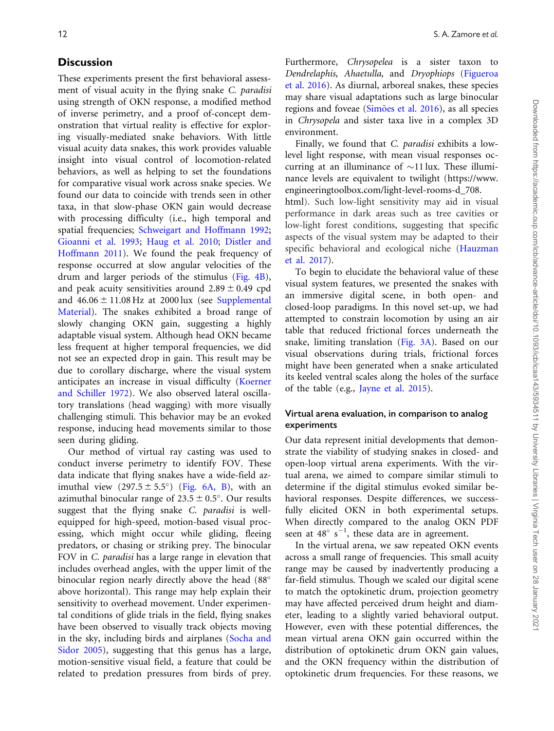# **Discussion**

These experiments present the first behavioral assessment of visual acuity in the flying snake C. paradisi using strength of OKN response, a modified method of inverse perimetry, and a proof of-concept demonstration that virtual reality is effective for exploring visually-mediated snake behaviors. With little visual acuity data snakes, this work provides valuable insight into visual control of locomotion-related behaviors, as well as helping to set the foundations for comparative visual work across snake species. We found our data to coincide with trends seen in other taxa, in that slow-phase OKN gain would decrease with processing difficulty (i.e., high temporal and spatial frequencies; [Schweigart and Hoffmann 1992](#page-13-0); [Gioanni et al. 1993;](#page-13-0) [Haug et al. 2010;](#page-13-0) [Distler and](#page-13-0) [Hoffmann 2011](#page-13-0)). We found the peak frequency of response occurred at slow angular velocities of the drum and larger periods of the stimulus ([Fig. 4B](#page-8-0)), and peak acuity sensitivities around  $2.89 \pm 0.49$  cpd and  $46.06 \pm 11.08$  Hz at 2000 lux (see Supplemental Material). The snakes exhibited a broad range of slowly changing OKN gain, suggesting a highly adaptable visual system. Although head OKN became less frequent at higher temporal frequencies, we did not see an expected drop in gain. This result may be due to corollary discharge, where the visual system anticipates an increase in visual difficulty [\(Koerner](#page-13-0) [and Schiller 1972](#page-13-0)). We also observed lateral oscillatory translations (head wagging) with more visually challenging stimuli. This behavior may be an evoked response, inducing head movements similar to those seen during gliding.

Our method of virtual ray casting was used to conduct inverse perimetry to identify FOV. These data indicate that flying snakes have a wide-field azimuthal view  $(297.5 \pm 5.5^{\circ})$  ([Fig. 6A, B](#page-10-0)), with an azimuthal binocular range of  $23.5 \pm 0.5^{\circ}$ . Our results suggest that the flying snake C. paradisi is wellequipped for high-speed, motion-based visual processing, which might occur while gliding, fleeing predators, or chasing or striking prey. The binocular FOV in C. paradisi has a large range in elevation that includes overhead angles, with the upper limit of the binocular region nearly directly above the head (88° above horizontal). This range may help explain their sensitivity to overhead movement. Under experimental conditions of glide trials in the field, flying snakes have been observed to visually track objects moving in the sky, including birds and airplanes [\(Socha and](#page-13-0) [Sidor 2005\)](#page-13-0), suggesting that this genus has a large, motion-sensitive visual field, a feature that could be related to predation pressures from birds of prey.

Furthermore, Chrysopelea is a sister taxon to Dendrelaphis, Ahaetulla, and Dryophiops [\(Figueroa](#page-13-0) [et al. 2016\)](#page-13-0). As diurnal, arboreal snakes, these species may share visual adaptations such as large binocular regions and foveae ([Sim](#page-13-0)õ[es et al. 2016](#page-13-0)), as all species in Chrysopela and sister taxa live in a complex 3D environment.

Finally, we found that C. paradisi exhibits a lowlevel light response, with mean visual responses occurring at an illuminance of  $\sim$ 11 lux. These illuminance levels are equivalent to twilight ([https://www.](https://www.engineeringtoolbox.com/light-level-rooms-d_708.html) [engineeringtoolbox.com/light-level-rooms-d\\_708.](https://www.engineeringtoolbox.com/light-level-rooms-d_708.html)

[html\)](https://www.engineeringtoolbox.com/light-level-rooms-d_708.html). Such low-light sensitivity may aid in visual performance in dark areas such as tree cavities or low-light forest conditions, suggesting that specific aspects of the visual system may be adapted to their specific behavioral and ecological niche ([Hauzman](#page-13-0) [et al. 2017](#page-13-0)).

To begin to elucidate the behavioral value of these visual system features, we presented the snakes with an immersive digital scene, in both open- and closed-loop paradigms. In this novel set-up, we had attempted to constrain locomotion by using an air table that reduced frictional forces underneath the snake, limiting translation ([Fig. 3A](#page-7-0)). Based on our visual observations during trials, frictional forces might have been generated when a snake articulated its keeled ventral scales along the holes of the surface of the table (e.g., [Jayne et al. 2015\)](#page-13-0).

# Virtual arena evaluation, in comparison to analog experiments

Our data represent initial developments that demonstrate the viability of studying snakes in closed- and open-loop virtual arena experiments. With the virtual arena, we aimed to compare similar stimuli to determine if the digital stimulus evoked similar behavioral responses. Despite differences, we successfully elicited OKN in both experimental setups. When directly compared to the analog OKN PDF seen at 48 $^{\circ}$  s<sup>-1</sup>, these data are in agreement.

In the virtual arena, we saw repeated OKN events across a small range of frequencies. This small acuity range may be caused by inadvertently producing a far-field stimulus. Though we scaled our digital scene to match the optokinetic drum, projection geometry may have affected perceived drum height and diameter, leading to a slightly varied behavioral output. However, even with these potential differences, the mean virtual arena OKN gain occurred within the distribution of optokinetic drum OKN gain values, and the OKN frequency within the distribution of optokinetic drum frequencies. For these reasons, we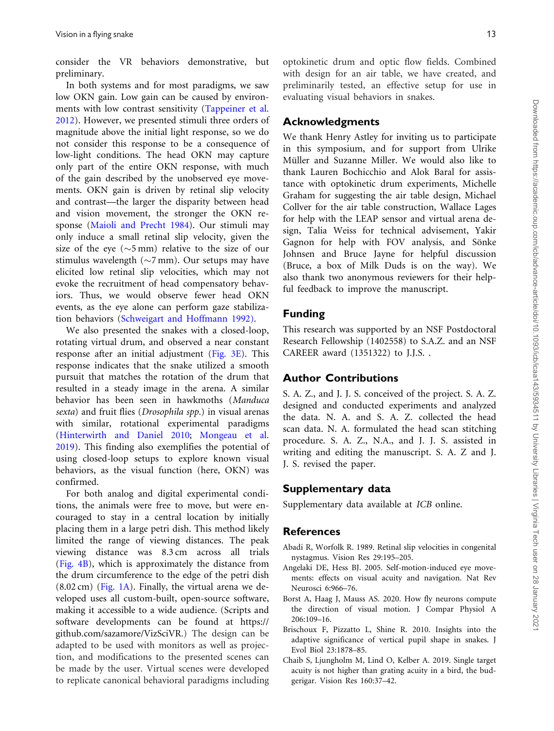<span id="page-12-0"></span>consider the VR behaviors demonstrative, but preliminary.

In both systems and for most paradigms, we saw low OKN gain. Low gain can be caused by environments with low contrast sensitivity ([Tappeiner et al.](#page-13-0) [2012\)](#page-13-0). However, we presented stimuli three orders of magnitude above the initial light response, so we do not consider this response to be a consequence of low-light conditions. The head OKN may capture only part of the entire OKN response, with much of the gain described by the unobserved eye movements. OKN gain is driven by retinal slip velocity and contrast—the larger the disparity between head and vision movement, the stronger the OKN response [\(Maioli and Precht 1984\)](#page-13-0). Our stimuli may only induce a small retinal slip velocity, given the size of the eye ( $\sim$ 5 mm) relative to the size of our stimulus wavelength ( $\sim$ 7 mm). Our setups may have elicited low retinal slip velocities, which may not evoke the recruitment of head compensatory behaviors. Thus, we would observe fewer head OKN events, as the eye alone can perform gaze stabilization behaviors ([Schweigart and Hoffmann 1992\)](#page-13-0).

We also presented the snakes with a closed-loop, rotating virtual drum, and observed a near constant response after an initial adjustment [\(Fig. 3E](#page-7-0)). This response indicates that the snake utilized a smooth pursuit that matches the rotation of the drum that resulted in a steady image in the arena. A similar behavior has been seen in hawkmoths (Manduca sexta) and fruit flies (Drosophila spp.) in visual arenas with similar, rotational experimental paradigms ([Hinterwirth and Daniel 2010](#page-13-0); [Mongeau et al.](#page-13-0) [2019\)](#page-13-0). This finding also exemplifies the potential of using closed-loop setups to explore known visual behaviors, as the visual function (here, OKN) was confirmed.

For both analog and digital experimental conditions, the animals were free to move, but were encouraged to stay in a central location by initially placing them in a large petri dish. This method likely limited the range of viewing distances. The peak viewing distance was 8.3 cm across all trials ([Fig. 4B\)](#page-8-0), which is approximately the distance from the drum circumference to the edge of the petri dish  $(8.02 \text{ cm})$  ([Fig. 1A\)](#page-3-0). Finally, the virtual arena we developed uses all custom-built, open-source software, making it accessible to a wide audience. (Scripts and software developments can be found at [https://](https://github.com/sazamore/VizSciVR) [github.com/sazamore/VizSciVR](https://github.com/sazamore/VizSciVR).) The design can be adapted to be used with monitors as well as projection, and modifications to the presented scenes can be made by the user. Virtual scenes were developed to replicate canonical behavioral paradigms including optokinetic drum and optic flow fields. Combined with design for an air table, we have created, and preliminarily tested, an effective setup for use in evaluating visual behaviors in snakes.

# Acknowledgments

We thank Henry Astley for inviting us to participate in this symposium, and for support from Ulrike Müller and Suzanne Miller. We would also like to thank Lauren Bochicchio and Alok Baral for assistance with optokinetic drum experiments, Michelle Graham for suggesting the air table design, Michael Collver for the air table construction, Wallace Lages for help with the LEAP sensor and virtual arena design, Talia Weiss for technical advisement, Yakir Gagnon for help with FOV analysis, and Sönke Johnsen and Bruce Jayne for helpful discussion (Bruce, a box of Milk Duds is on the way). We also thank two anonymous reviewers for their helpful feedback to improve the manuscript.

# Funding

This research was supported by an NSF Postdoctoral Research Fellowship (1402558) to S.A.Z. and an NSF CAREER award (1351322) to J.J.S. .

# Author Contributions

S. A. Z., and J. J. S. conceived of the project. S. A. Z. designed and conducted experiments and analyzed the data. N. A. and S. A. Z. collected the head scan data. N. A. formulated the head scan stitching procedure. S. A. Z., N.A., and J. J. S. assisted in writing and editing the manuscript. S. A. Z and J. J. S. revised the paper.

# Supplementary data

Supplementary data available at ICB online.

# **References**

- Abadi R, Worfolk R. 1989. Retinal slip velocities in congenital nystagmus. Vision Res 29:195–205.
- Angelaki DE, Hess BJ. 2005. Self-motion-induced eye movements: effects on visual acuity and navigation. Nat Rev Neurosci 6:966–76.
- Borst A, Haag J, Mauss AS. 2020. How fly neurons compute the direction of visual motion. J Compar Physiol A 206:109–16.
- Brischoux F, Pizzatto L, Shine R. 2010. Insights into the adaptive significance of vertical pupil shape in snakes. J Evol Biol 23:1878–85.
- Chaib S, Ljungholm M, Lind O, Kelber A. 2019. Single target acuity is not higher than grating acuity in a bird, the budgerigar. Vision Res 160:37–42.